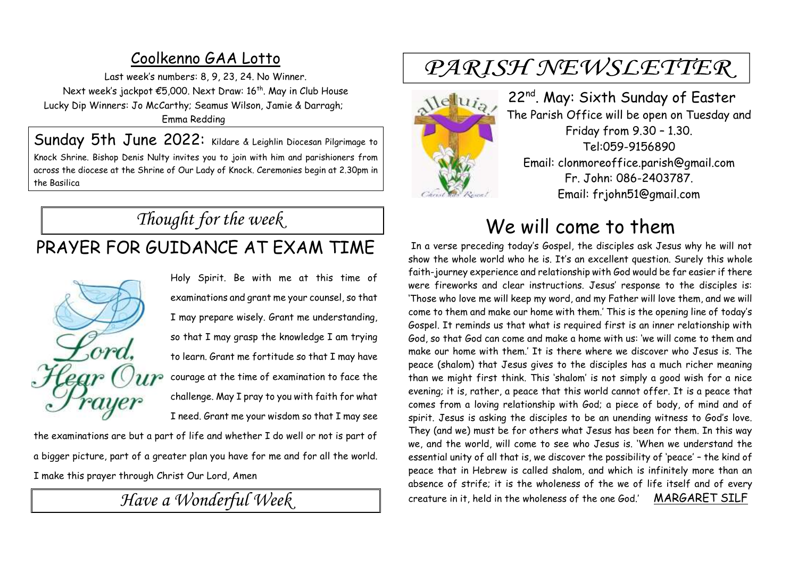### Coolkenno GAA Lotto

Last week's numbers: 8, 9, 23, 24. No Winner. Next week's jackpot €5,000. Next Draw: 16<sup>th</sup>. May in Club House Lucky Dip Winners: Jo McCarthy; Seamus Wilson, Jamie & Darragh; Emma Redding

Sunday 5th June 2022: Kildare & Leighlin Diocesan Pilgrimage to Knock Shrine. Bishop Denis Nulty invites you to join with him and parishioners from across the diocese at the Shrine of Our Lady of Knock. Ceremonies begin at 2.30pm in the Basilica

# *Thought for the week*

# PRAYER FOR GUIDANCE AT EXAM TIME

ore  $n_{P}$ 

Holy Spirit. Be with me at this time of examinations and grant me your counsel, so that I may prepare wisely. Grant me understanding, so that I may grasp the knowledge I am trying to learn. Grant me fortitude so that I may have courage at the time of examination to face the challenge. May I pray to you with faith for what I need. Grant me your wisdom so that I may see

the examinations are but a part of life and whether I do well or not is part of a bigger picture, part of a greater plan you have for me and for all the world. I make this prayer through Christ Our Lord, Amen

*Have a Wonderful Week* 

# PARISH NEWSLETTER



22<sup>nd</sup>. May: Sixth Sunday of Easter The Parish Office will be open on Tuesday and Friday from 9.30 – 1.30. Tel:059-9156890 Email: clonmoreoffice.parish@gmail.com Fr. John: 086-2403787. Email: frjohn51@gmail.com

# We will come to them

In a verse preceding today's Gospel, the disciples ask Jesus why he will not show the whole world who he is. It's an excellent question. Surely this whole faith-journey experience and relationship with God would be far easier if there were fireworks and clear instructions. Jesus' response to the disciples is: 'Those who love me will keep my word, and my Father will love them, and we will come to them and make our home with them.' This is the opening line of today's Gospel. It reminds us that what is required first is an inner relationship with God, so that God can come and make a home with us: 'we will come to them and make our home with them.' It is there where we discover who Jesus is. The peace (shalom) that Jesus gives to the disciples has a much richer meaning than we might first think. This 'shalom' is not simply a good wish for a nice evening; it is, rather, a peace that this world cannot offer. It is a peace that comes from a loving relationship with God; a piece of body, of mind and of spirit. Jesus is asking the disciples to be an unending witness to God's love. They (and we) must be for others what Jesus has been for them. In this way we, and the world, will come to see who Jesus is. 'When we understand the essential unity of all that is, we discover the possibility of 'peace' – the kind of peace that in Hebrew is called shalom, and which is infinitely more than an absence of strife; it is the wholeness of the we of life itself and of every creature in it, held in the wholeness of the one God.' MARGARET SILF